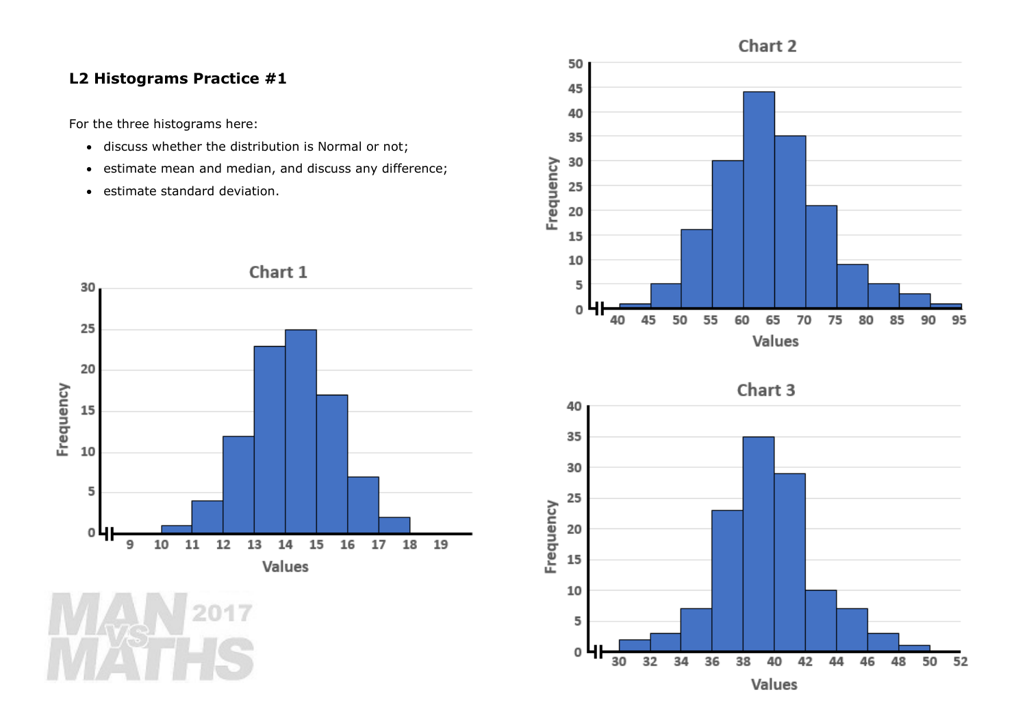## **L2 Histograms Practice #1**

For the three histograms here:

- discuss whether the distribution is Normal or not;
- estimate mean and median, and discuss any difference;
- estimate standard deviation.







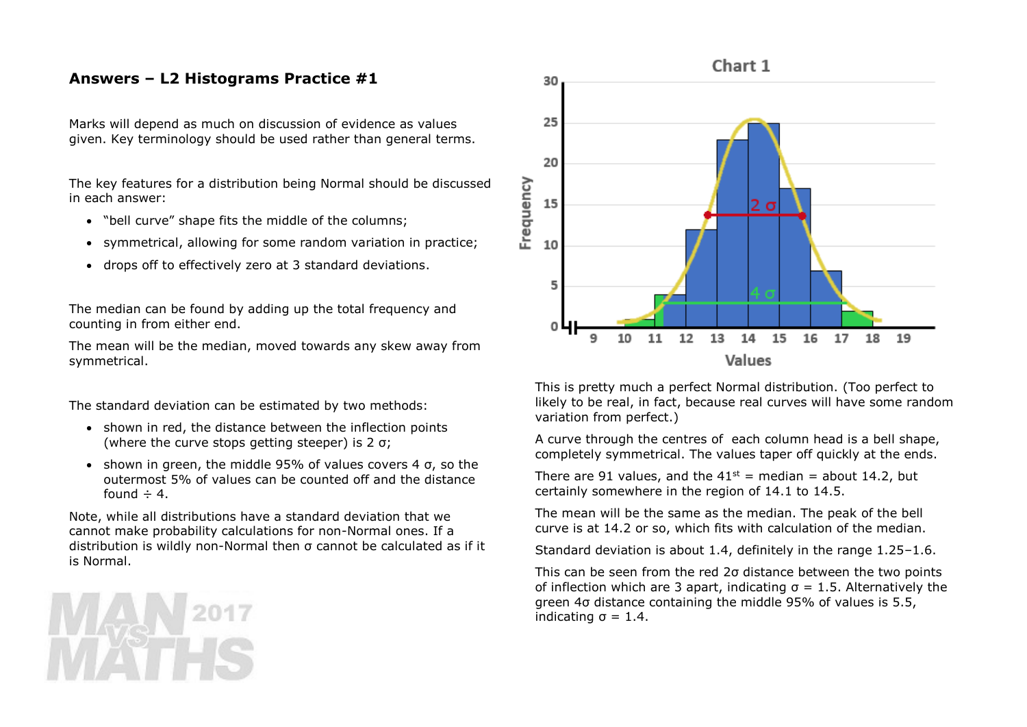## **Answers – L2 Histograms Practice #1**

Marks will depend as much on discussion of evidence as values given. Key terminology should be used rather than general terms.

The key features for a distribution being Normal should be discussed in each answer:

- "bell curve" shape fits the middle of the columns;
- symmetrical, allowing for some random variation in practice;
- drops off to effectively zero at 3 standard deviations.

The median can be found by adding up the total frequency and counting in from either end.

The mean will be the median, moved towards any skew away from symmetrical.

The standard deviation can be estimated by two methods:

- shown in red, the distance between the inflection points (where the curve stops getting steeper) is 2 σ;
- shown in green, the middle 95% of values covers 4  $\sigma$ , so the outermost 5% of values can be counted off and the distance found  $\div$  4.

Note, while all distributions have a standard deviation that we cannot make probability calculations for non-Normal ones. If a distribution is wildly non-Normal then σ cannot be calculated as if it is Normal.



This is pretty much a perfect Normal distribution. (Too perfect to likely to be real, in fact, because real curves will have some random variation from perfect.)

A curve through the centres of each column head is a bell shape, completely symmetrical. The values taper off quickly at the ends.

There are 91 values, and the  $41^{st}$  = median = about 14.2, but certainly somewhere in the region of 14.1 to 14.5.

The mean will be the same as the median. The peak of the bell curve is at 14.2 or so, which fits with calculation of the median.

Standard deviation is about 1.4, definitely in the range 1.25–1.6.

This can be seen from the red 2σ distance between the two points of inflection which are 3 apart, indicating σ = 1.5. Alternatively the green 4σ distance containing the middle 95% of values is 5.5, indicating  $\sigma = 1.4$ .